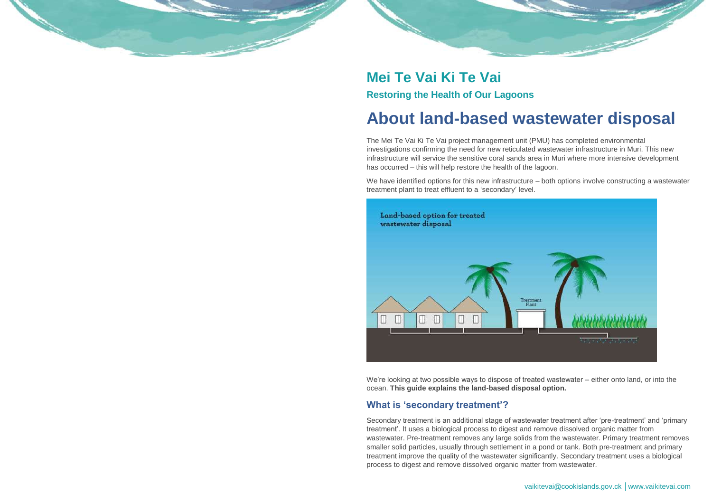vaikitevai@cookislands.gov.ck │www.vaikitevai.com

## **Mei Te Vai Ki Te Vai Restoring the Health of Our Lagoons**

# **About land-based wastewater disposal**

The Mei Te Vai Ki Te Vai project management unit (PMU) has completed environmental investigations confirming the need for new reticulated wastewater infrastructure in Muri. This new infrastructure will service the sensitive coral sands area in Muri where more intensive development has occurred – this will help restore the health of the lagoon.

We have identified options for this new infrastructure – both options involve constructing a wastewater treatment plant to treat effluent to a 'secondary' level.



We're looking at two possible ways to dispose of treated wastewater – either onto land, or into the ocean. **This guide explains the land-based disposal option.**

#### **What is 'secondary treatment'?**

Secondary treatment is an additional stage of wastewater treatment after 'pre-treatment' and 'primary treatment'. It uses a biological process to digest and remove dissolved organic matter from wastewater. Pre-treatment removes any large solids from the wastewater. Primary treatment removes smaller solid particles, usually through settlement in a pond or tank. Both pre-treatment and primary treatment improve the quality of the wastewater significantly. Secondary treatment uses a biological process to digest and remove dissolved organic matter from wastewater.